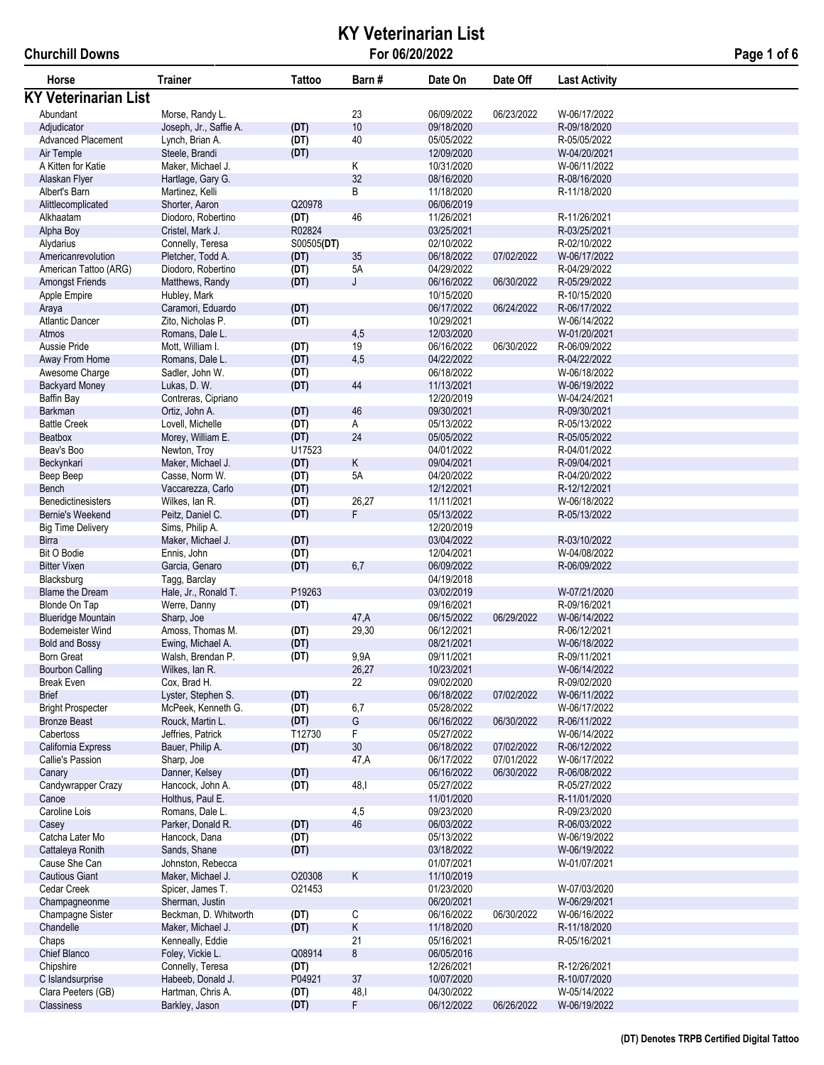# **KY Veterinarian List For 06/20/2022 Page 1 of 6**

| Page 1 of 6 |  |  |  |
|-------------|--|--|--|
|-------------|--|--|--|

| Horse                                  | <b>Trainer</b>                      | Tattoo       | Barn#                | Date On                  | Date Off                 | <b>Last Activity</b>         |  |
|----------------------------------------|-------------------------------------|--------------|----------------------|--------------------------|--------------------------|------------------------------|--|
| <b>KY Veterinarian List</b>            |                                     |              |                      |                          |                          |                              |  |
| Abundant                               | Morse, Randy L.                     |              | 23                   | 06/09/2022               | 06/23/2022               | W-06/17/2022                 |  |
| Adjudicator                            | Joseph, Jr., Saffie A.              | (DT)         | 10                   | 09/18/2020               |                          | R-09/18/2020                 |  |
| <b>Advanced Placement</b>              | Lynch, Brian A.                     | (DT)         | 40                   | 05/05/2022               |                          | R-05/05/2022                 |  |
| Air Temple                             | Steele, Brandi                      | (DT)         |                      | 12/09/2020               |                          | W-04/20/2021                 |  |
| A Kitten for Katie                     | Maker, Michael J.                   |              | Κ                    | 10/31/2020               |                          | W-06/11/2022                 |  |
| Alaskan Flyer                          | Hartlage, Gary G.                   |              | 32                   | 08/16/2020               |                          | R-08/16/2020                 |  |
| Albert's Barn                          | Martinez, Kelli                     |              | B                    | 11/18/2020               |                          | R-11/18/2020                 |  |
| Alittlecomplicated                     | Shorter, Aaron                      | Q20978       |                      | 06/06/2019               |                          |                              |  |
| Alkhaatam                              | Diodoro, Robertino                  | (DT)         | 46                   | 11/26/2021               |                          | R-11/26/2021                 |  |
| Alpha Boy                              | Cristel, Mark J.                    | R02824       |                      | 03/25/2021               |                          | R-03/25/2021                 |  |
| Alydarius                              | Connelly, Teresa                    | S00505(DT)   |                      | 02/10/2022               |                          | R-02/10/2022                 |  |
| Americanrevolution                     | Pletcher, Todd A.                   | (DT)         | 35                   | 06/18/2022               | 07/02/2022               | W-06/17/2022                 |  |
| American Tattoo (ARG)                  | Diodoro, Robertino                  | (DT)         | 5A                   | 04/29/2022               |                          | R-04/29/2022                 |  |
| <b>Amongst Friends</b>                 | Matthews, Randy                     | (DT)         | J                    | 06/16/2022               | 06/30/2022               | R-05/29/2022                 |  |
| Apple Empire                           | Hubley, Mark                        |              |                      | 10/15/2020               |                          | R-10/15/2020                 |  |
| Araya                                  | Caramori, Eduardo                   | (DT)         |                      | 06/17/2022               | 06/24/2022               | R-06/17/2022                 |  |
| <b>Atlantic Dancer</b>                 | Zito, Nicholas P.                   | (DT)         |                      | 10/29/2021               |                          | W-06/14/2022                 |  |
| Atmos<br>Aussie Pride                  | Romans, Dale L.<br>Mott, William I. |              | 4,5<br>19            | 12/03/2020<br>06/16/2022 | 06/30/2022               | W-01/20/2021<br>R-06/09/2022 |  |
| Away From Home                         | Romans, Dale L.                     | (DT)<br>(DT) | 4,5                  | 04/22/2022               |                          | R-04/22/2022                 |  |
| Awesome Charge                         | Sadler, John W.                     | (DT)         |                      | 06/18/2022               |                          | W-06/18/2022                 |  |
| <b>Backyard Money</b>                  | Lukas, D. W.                        | (DT)         | 44                   | 11/13/2021               |                          | W-06/19/2022                 |  |
| Baffin Bay                             | Contreras, Cipriano                 |              |                      | 12/20/2019               |                          | W-04/24/2021                 |  |
| <b>Barkman</b>                         | Ortiz, John A.                      | (DT)         | 46                   | 09/30/2021               |                          | R-09/30/2021                 |  |
| <b>Battle Creek</b>                    | Lovell, Michelle                    | (DT)         | А                    | 05/13/2022               |                          | R-05/13/2022                 |  |
| Beatbox                                | Morey, William E.                   | (DT)         | 24                   | 05/05/2022               |                          | R-05/05/2022                 |  |
| Beav's Boo                             | Newton, Troy                        | U17523       |                      | 04/01/2022               |                          | R-04/01/2022                 |  |
| Beckynkari                             | Maker, Michael J.                   | (DT)         | Κ                    | 09/04/2021               |                          | R-09/04/2021                 |  |
| Beep Beep                              | Casse, Norm W.                      | (DT)         | 5A                   | 04/20/2022               |                          | R-04/20/2022                 |  |
| Bench                                  | Vaccarezza, Carlo                   | (DT)         |                      | 12/12/2021               |                          | R-12/12/2021                 |  |
| Benedictinesisters                     | Wilkes, Ian R.                      | (DT)         | 26,27                | 11/11/2021               |                          | W-06/18/2022                 |  |
| Bernie's Weekend                       | Peitz, Daniel C.                    | (DT)         | F                    | 05/13/2022               |                          | R-05/13/2022                 |  |
| <b>Big Time Delivery</b>               | Sims, Philip A.                     |              |                      | 12/20/2019               |                          |                              |  |
| <b>Birra</b>                           | Maker, Michael J.                   | (DT)         |                      | 03/04/2022               |                          | R-03/10/2022                 |  |
| Bit O Bodie                            | Ennis, John                         | (DT)         |                      | 12/04/2021               |                          | W-04/08/2022                 |  |
| <b>Bitter Vixen</b>                    | Garcia, Genaro                      | (DT)         | 6,7                  | 06/09/2022               |                          | R-06/09/2022                 |  |
| Blacksburg                             | Tagg, Barclay                       |              |                      | 04/19/2018               |                          |                              |  |
| <b>Blame the Dream</b>                 | Hale, Jr., Ronald T.                | P19263       |                      | 03/02/2019               |                          | W-07/21/2020                 |  |
| Blonde On Tap                          | Werre, Danny                        | (DT)         |                      | 09/16/2021               |                          | R-09/16/2021                 |  |
| <b>Blueridge Mountain</b>              | Sharp, Joe                          |              | 47,A                 | 06/15/2022               | 06/29/2022               | W-06/14/2022                 |  |
| Bodemeister Wind                       | Amoss, Thomas M.                    | (DT)         | 29,30                | 06/12/2021               |                          | R-06/12/2021                 |  |
| <b>Bold and Bossy</b>                  | Ewing, Michael A.                   | (DT)         |                      | 08/21/2021               |                          | W-06/18/2022                 |  |
| Born Great                             | Walsh, Brendan P.                   | (DT)         | 9,9A                 | 09/11/2021               |                          | R-09/11/2021                 |  |
| <b>Bourbon Calling</b>                 | Wilkes, Ian R.                      |              | 26,27                | 10/23/2021               |                          | W-06/14/2022                 |  |
| <b>Break Even</b>                      | Cox, Brad H.                        |              | 22                   | 09/02/2020               |                          | R-09/02/2020                 |  |
| <b>Brief</b>                           | Lyster, Stephen S.                  | (DT)         |                      | 06/18/2022               | 07/02/2022               | W-06/11/2022                 |  |
| <b>Bright Prospecter</b>               | McPeek, Kenneth G.                  | (DT)         | 6,7                  | 05/28/2022               |                          | W-06/17/2022                 |  |
| <b>Bronze Beast</b><br>Cabertoss       | Rouck, Martin L.                    | (DT)         | G                    | 06/16/2022               | 06/30/2022               | R-06/11/2022                 |  |
|                                        | Jeffries, Patrick                   | T12730       | F<br>30 <sup>°</sup> | 05/27/2022               |                          | W-06/14/2022                 |  |
| California Express<br>Callie's Passion | Bauer, Philip A.<br>Sharp, Joe      | (DT)         |                      | 06/18/2022               | 07/02/2022<br>07/01/2022 | R-06/12/2022                 |  |
| Canary                                 | Danner, Kelsey                      | (DT)         | 47,A                 | 06/17/2022<br>06/16/2022 | 06/30/2022               | W-06/17/2022<br>R-06/08/2022 |  |
| Candywrapper Crazy                     | Hancock, John A.                    | (DT)         | 48,I                 | 05/27/2022               |                          | R-05/27/2022                 |  |
| Canoe                                  | Holthus, Paul E.                    |              |                      | 11/01/2020               |                          | R-11/01/2020                 |  |
| Caroline Lois                          | Romans, Dale L.                     |              | 4,5                  | 09/23/2020               |                          | R-09/23/2020                 |  |
| Casey                                  | Parker, Donald R.                   | (DT)         | 46                   | 06/03/2022               |                          | R-06/03/2022                 |  |
| Catcha Later Mo                        | Hancock, Dana                       | (DT)         |                      | 05/13/2022               |                          | W-06/19/2022                 |  |
| Cattaleya Ronith                       | Sands, Shane                        | (DT)         |                      | 03/18/2022               |                          | W-06/19/2022                 |  |
| Cause She Can                          | Johnston, Rebecca                   |              |                      | 01/07/2021               |                          | W-01/07/2021                 |  |
| <b>Cautious Giant</b>                  | Maker, Michael J.                   | O20308       | $\mathsf K$          | 11/10/2019               |                          |                              |  |
| Cedar Creek                            | Spicer, James T.                    | O21453       |                      | 01/23/2020               |                          | W-07/03/2020                 |  |
| Champagneonme                          | Sherman, Justin                     |              |                      | 06/20/2021               |                          | W-06/29/2021                 |  |
| Champagne Sister                       | Beckman, D. Whitworth               | (DT)         | С                    | 06/16/2022               | 06/30/2022               | W-06/16/2022                 |  |
| Chandelle                              | Maker, Michael J.                   | (DT)         | Κ                    | 11/18/2020               |                          | R-11/18/2020                 |  |
| Chaps                                  | Kenneally, Eddie                    |              | 21                   | 05/16/2021               |                          | R-05/16/2021                 |  |
| Chief Blanco                           | Foley, Vickie L.                    | Q08914       | 8                    | 06/05/2016               |                          |                              |  |
| Chipshire                              | Connelly, Teresa                    | (DT)         |                      | 12/26/2021               |                          | R-12/26/2021                 |  |
| C Islandsurprise                       | Habeeb, Donald J.                   | P04921       | $37\,$               | 10/07/2020               |                          | R-10/07/2020                 |  |
| Clara Peeters (GB)                     | Hartman, Chris A.                   | (DT)         | 48,1                 | 04/30/2022               |                          | W-05/14/2022                 |  |
| Classiness                             | Barkley, Jason                      | (DT)         | F                    | 06/12/2022               | 06/26/2022               | W-06/19/2022                 |  |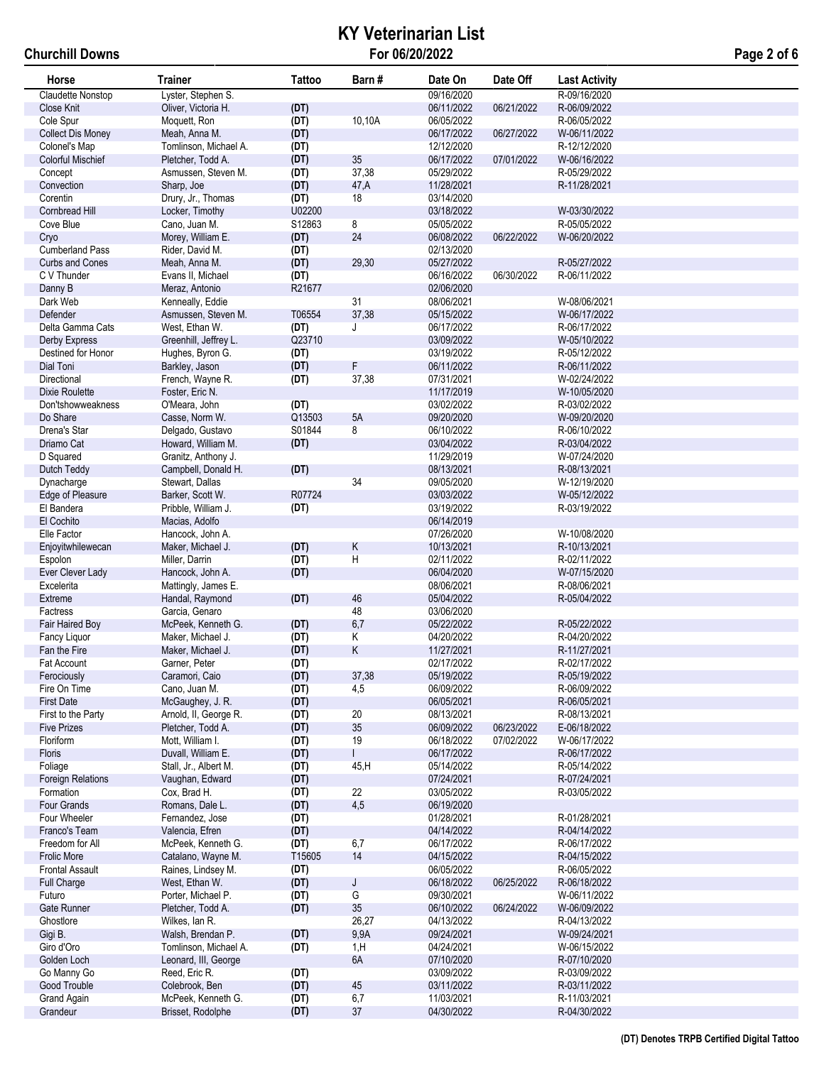# **KY Veterinarian List For 06/20/2022 Page 2 of 6**

| Horse                               | <b>Trainer</b>                        | <b>Tattoo</b>  | Barn#                | Date On                  | Date Off   | <b>Last Activity</b>         |
|-------------------------------------|---------------------------------------|----------------|----------------------|--------------------------|------------|------------------------------|
| Claudette Nonstop                   | Lyster, Stephen S.                    |                |                      | 09/16/2020               |            | R-09/16/2020                 |
| Close Knit                          | Oliver, Victoria H.                   | (DT)           |                      | 06/11/2022               | 06/21/2022 | R-06/09/2022                 |
| Cole Spur                           | Moquett, Ron                          | (DT)           | 10,10A               | 06/05/2022               |            | R-06/05/2022                 |
| <b>Collect Dis Money</b>            | Meah, Anna M.                         | (DT)           |                      | 06/17/2022               | 06/27/2022 | W-06/11/2022                 |
| Colonel's Map                       | Tomlinson, Michael A.                 | (DT)           |                      | 12/12/2020               |            | R-12/12/2020                 |
| <b>Colorful Mischief</b>            | Pletcher, Todd A.                     | (DT)           | 35                   | 06/17/2022               | 07/01/2022 | W-06/16/2022                 |
| Concept                             | Asmussen, Steven M.                   | (DT)           | 37,38                | 05/29/2022               |            | R-05/29/2022                 |
| Convection                          | Sharp, Joe                            | (DT)           | 47,A                 | 11/28/2021               |            | R-11/28/2021                 |
| Corentin                            | Drury, Jr., Thomas                    | (DT)           | 18                   | 03/14/2020               |            |                              |
| Cornbread Hill                      | Locker, Timothy                       | U02200         |                      | 03/18/2022               |            | W-03/30/2022                 |
| Cove Blue                           | Cano, Juan M.                         | S12863         | 8                    | 05/05/2022               |            | R-05/05/2022                 |
| Cryo                                | Morey, William E.                     | (DT)           | 24                   | 06/08/2022               | 06/22/2022 | W-06/20/2022                 |
| <b>Cumberland Pass</b>              | Rider, David M.                       | (DT)           |                      | 02/13/2020               |            |                              |
| <b>Curbs and Cones</b>              | Meah, Anna M.                         | (DT)           | 29,30                | 05/27/2022               |            | R-05/27/2022                 |
| C V Thunder                         | Evans II, Michael                     | (DT)           |                      | 06/16/2022               | 06/30/2022 | R-06/11/2022                 |
| Danny B                             | Meraz, Antonio                        | R21677         |                      | 02/06/2020               |            |                              |
| Dark Web                            | Kenneally, Eddie                      |                | 31                   | 08/06/2021               |            | W-08/06/2021                 |
| <b>Defender</b>                     | Asmussen, Steven M.                   | T06554         | 37,38                | 05/15/2022               |            | W-06/17/2022                 |
| Delta Gamma Cats                    | West, Ethan W.                        | (DT)           | J                    | 06/17/2022               |            | R-06/17/2022                 |
| Derby Express                       | Greenhill, Jeffrey L.                 | Q23710         |                      | 03/09/2022               |            | W-05/10/2022                 |
| Destined for Honor                  | Hughes, Byron G.                      | (DT)           |                      | 03/19/2022               |            | R-05/12/2022                 |
| Dial Toni                           | Barkley, Jason                        | (DT)           | F                    | 06/11/2022<br>07/31/2021 |            | R-06/11/2022                 |
| Directional                         | French, Wayne R.                      | (DT)           | 37,38                |                          |            | W-02/24/2022<br>W-10/05/2020 |
| Dixie Roulette<br>Don'tshowweakness | Foster, Eric N.                       |                |                      | 11/17/2019               |            | R-03/02/2022                 |
| Do Share                            | O'Meara, John<br>Casse, Norm W.       | (DT)<br>Q13503 | 5A                   | 03/02/2022<br>09/20/2020 |            | W-09/20/2020                 |
| Drena's Star                        | Delgado, Gustavo                      | S01844         | 8                    | 06/10/2022               |            | R-06/10/2022                 |
| Driamo Cat                          | Howard, William M.                    | (DT)           |                      | 03/04/2022               |            | R-03/04/2022                 |
| D Squared                           | Granitz, Anthony J.                   |                |                      | 11/29/2019               |            | W-07/24/2020                 |
| Dutch Teddy                         | Campbell, Donald H.                   | (DT)           |                      | 08/13/2021               |            | R-08/13/2021                 |
| Dynacharge                          | Stewart, Dallas                       |                | 34                   | 09/05/2020               |            | W-12/19/2020                 |
| Edge of Pleasure                    | Barker, Scott W.                      | R07724         |                      | 03/03/2022               |            | W-05/12/2022                 |
| El Bandera                          | Pribble, William J.                   | (DT)           |                      | 03/19/2022               |            | R-03/19/2022                 |
| El Cochito                          | Macias, Adolfo                        |                |                      | 06/14/2019               |            |                              |
| Elle Factor                         | Hancock, John A.                      |                |                      | 07/26/2020               |            | W-10/08/2020                 |
| Enjoyitwhilewecan                   | Maker, Michael J.                     | (DT)           | Κ                    | 10/13/2021               |            | R-10/13/2021                 |
| Espolon                             | Miller, Darrin                        | (DT)           | H                    | 02/11/2022               |            | R-02/11/2022                 |
| Ever Clever Lady                    | Hancock, John A.                      | (DT)           |                      | 06/04/2020               |            | W-07/15/2020                 |
| Excelerita                          | Mattingly, James E.                   |                |                      | 08/06/2021               |            | R-08/06/2021                 |
| Extreme                             | Handal, Raymond                       | (DT)           | 46                   | 05/04/2022               |            | R-05/04/2022                 |
| Factress                            | Garcia, Genaro                        |                | 48                   | 03/06/2020               |            |                              |
| Fair Haired Boy                     | McPeek, Kenneth G.                    | (DT)           | 6,7                  | 05/22/2022               |            | R-05/22/2022                 |
| Fancy Liquor                        | Maker, Michael J.                     | (DT)           | Κ                    | 04/20/2022               |            | R-04/20/2022                 |
| Fan the Fire                        | Maker, Michael J.                     | (DT)           | Κ                    | 11/27/2021               |            | R-11/27/2021                 |
| Fat Account                         | Garner, Peter                         | (DT)           |                      | 02/17/2022               |            | R-02/17/2022                 |
| Ferociously                         | Caramori, Caio                        | (DT)           | 37,38                | 05/19/2022               |            | R-05/19/2022                 |
| Fire On Time                        | Cano, Juan M.                         | (DT)           | 4,5                  | 06/09/2022               |            | R-06/09/2022                 |
| <b>First Date</b>                   | McGaughey, J. R.                      | (DT)           |                      | 06/05/2021               |            | R-06/05/2021                 |
| First to the Party                  | Arnold, II, George R.                 | (DT)           | 20                   | 08/13/2021               |            | R-08/13/2021                 |
| <b>Five Prizes</b>                  | Pletcher, Todd A.<br>Mott, William I. | (DT)           | 35                   | 06/09/2022<br>06/18/2022 | 06/23/2022 | E-06/18/2022<br>W-06/17/2022 |
| Floriform<br>Floris                 | Duvall, William E.                    | (DT)<br>(DT)   | 19<br>$\overline{1}$ | 06/17/2022               | 07/02/2022 | R-06/17/2022                 |
| Foliage                             | Stall, Jr., Albert M.                 | (DT)           | 45, H                | 05/14/2022               |            | R-05/14/2022                 |
| <b>Foreign Relations</b>            | Vaughan, Edward                       | (DT)           |                      | 07/24/2021               |            | R-07/24/2021                 |
| Formation                           | Cox, Brad H.                          | (DT)           | 22                   | 03/05/2022               |            | R-03/05/2022                 |
| Four Grands                         | Romans, Dale L.                       | (DT)           | 4,5                  | 06/19/2020               |            |                              |
| Four Wheeler                        | Fernandez, Jose                       | (DT)           |                      | 01/28/2021               |            | R-01/28/2021                 |
| Franco's Team                       | Valencia, Efren                       | (DT)           |                      | 04/14/2022               |            | R-04/14/2022                 |
| Freedom for All                     | McPeek, Kenneth G.                    | (DT)           | 6,7                  | 06/17/2022               |            | R-06/17/2022                 |
| Frolic More                         | Catalano, Wayne M.                    | T15605         | 14                   | 04/15/2022               |            | R-04/15/2022                 |
| <b>Frontal Assault</b>              | Raines, Lindsey M.                    | (DT)           |                      | 06/05/2022               |            | R-06/05/2022                 |
| Full Charge                         | West, Ethan W.                        | (DT)           | J                    | 06/18/2022               | 06/25/2022 | R-06/18/2022                 |
| Futuro                              | Porter, Michael P.                    | (DT)           | G                    | 09/30/2021               |            | W-06/11/2022                 |
| Gate Runner                         | Pletcher, Todd A.                     | (DT)           | $35\,$               | 06/10/2022               | 06/24/2022 | W-06/09/2022                 |
| Ghostlore                           | Wilkes, Ian R.                        |                | 26,27                | 04/13/2022               |            | R-04/13/2022                 |
| Gigi B.                             | Walsh, Brendan P.                     | (DT)           | 9,9A                 | 09/24/2021               |            | W-09/24/2021                 |
| Giro d'Oro                          | Tomlinson, Michael A.                 | (DT)           | 1, H                 | 04/24/2021               |            | W-06/15/2022                 |
| Golden Loch                         | Leonard, III, George                  |                | 6A                   | 07/10/2020               |            | R-07/10/2020                 |
| Go Manny Go                         | Reed, Eric R.                         | (DT)           |                      | 03/09/2022               |            | R-03/09/2022                 |
| Good Trouble                        | Colebrook, Ben                        | (DT)           | 45                   | 03/11/2022               |            | R-03/11/2022                 |
| <b>Grand Again</b>                  | McPeek, Kenneth G.                    | (DT)           | 6,7                  | 11/03/2021               |            | R-11/03/2021                 |
| Grandeur                            | Brisset, Rodolphe                     | (DT)           | $37\,$               | 04/30/2022               |            | R-04/30/2022                 |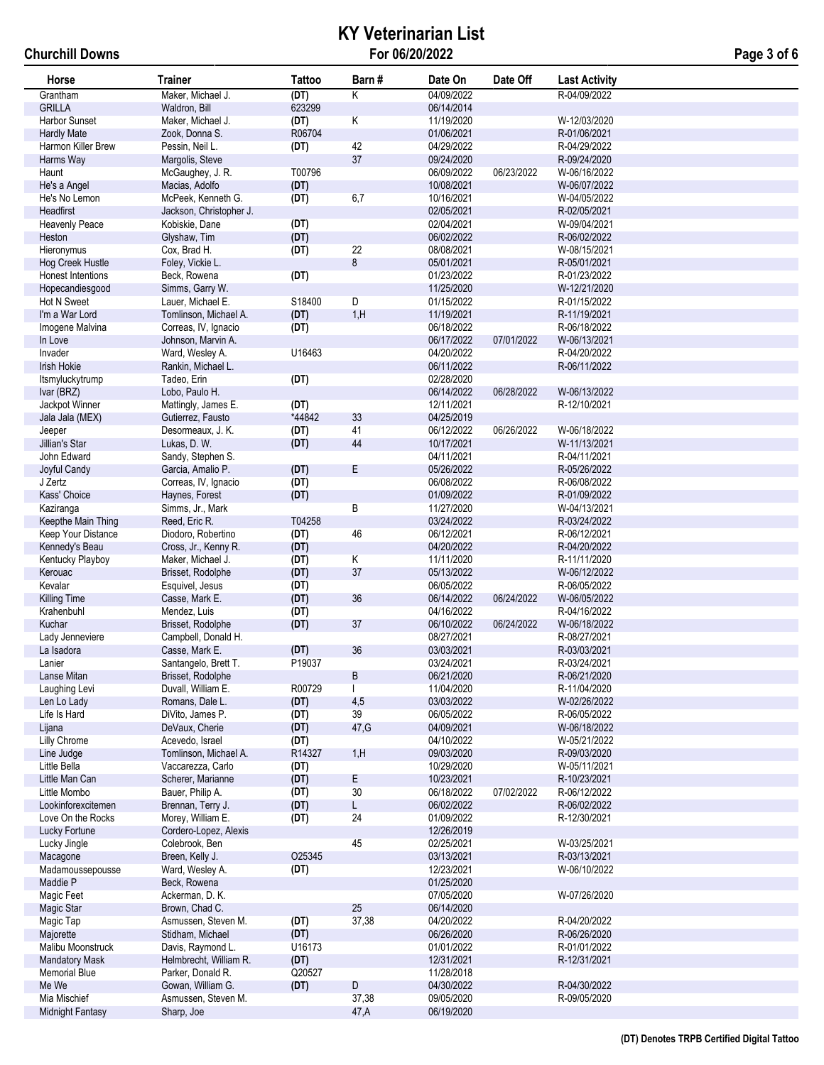# **KY Veterinarian List For 06/20/2022 Page 3 of 6**

| Horse                 | <b>Trainer</b>                          | Tattoo         | Barn#                   | Date On                  | Date Off   | <b>Last Activity</b>         |
|-----------------------|-----------------------------------------|----------------|-------------------------|--------------------------|------------|------------------------------|
| Grantham              | Maker, Michael J.                       | (DT)           | K                       | 04/09/2022               |            | R-04/09/2022                 |
| <b>GRILLA</b>         | Waldron, Bill                           | 623299         |                         | 06/14/2014               |            |                              |
| Harbor Sunset         | Maker, Michael J.                       | (DT)           | Κ                       | 11/19/2020               |            | W-12/03/2020                 |
| <b>Hardly Mate</b>    | Zook, Donna S.                          | R06704         |                         | 01/06/2021               |            | R-01/06/2021                 |
| Harmon Killer Brew    | Pessin, Neil L.                         | (DT)           | 42                      | 04/29/2022               |            | R-04/29/2022                 |
| Harms Way             | Margolis, Steve                         |                | 37                      | 09/24/2020               |            | R-09/24/2020                 |
| Haunt                 | McGaughey, J. R.                        | T00796         |                         | 06/09/2022               | 06/23/2022 | W-06/16/2022                 |
| He's a Angel          | Macias, Adolfo                          | (DT)           |                         | 10/08/2021               |            | W-06/07/2022                 |
| He's No Lemon         | McPeek, Kenneth G.                      | (DT)           | 6,7                     | 10/16/2021               |            | W-04/05/2022                 |
| Headfirst             | Jackson, Christopher J.                 |                |                         | 02/05/2021               |            | R-02/05/2021                 |
| <b>Heavenly Peace</b> | Kobiskie, Dane                          | (DT)           |                         | 02/04/2021               |            | W-09/04/2021                 |
| Heston                | Glyshaw, Tim                            | (DT)           |                         | 06/02/2022               |            | R-06/02/2022                 |
| Hieronymus            | Cox, Brad H.                            | (DT)           | 22                      | 08/08/2021               |            | W-08/15/2021                 |
| Hog Creek Hustle      | Foley, Vickie L.                        |                | 8                       | 05/01/2021               |            | R-05/01/2021                 |
| Honest Intentions     | Beck, Rowena                            | (DT)           |                         | 01/23/2022               |            | R-01/23/2022                 |
| Hopecandiesgood       | Simms, Garry W.                         |                |                         | 11/25/2020               |            | W-12/21/2020                 |
| Hot N Sweet           | Lauer, Michael E.                       | S18400         | $\overline{\mathsf{D}}$ | 01/15/2022               |            | R-01/15/2022                 |
| I'm a War Lord        | Tomlinson, Michael A.                   | (DT)           | 1, H                    | 11/19/2021               |            | R-11/19/2021                 |
| Imogene Malvina       | Correas, IV, Ignacio                    | (DT)           |                         | 06/18/2022               |            | R-06/18/2022                 |
| In Love               | Johnson, Marvin A.                      |                |                         | 06/17/2022               | 07/01/2022 | W-06/13/2021                 |
| Invader               | Ward, Wesley A.                         | U16463         |                         | 04/20/2022               |            | R-04/20/2022                 |
| Irish Hokie           | Rankin, Michael L.                      |                |                         | 06/11/2022               |            | R-06/11/2022                 |
| Itsmyluckytrump       | Tadeo, Erin                             | (DT)           |                         | 02/28/2020               |            |                              |
| Ivar (BRZ)            | Lobo, Paulo H.                          |                |                         | 06/14/2022               | 06/28/2022 | W-06/13/2022                 |
| Jackpot Winner        | Mattingly, James E.                     | (DT)           |                         | 12/11/2021               |            | R-12/10/2021                 |
| Jala Jala (MEX)       | Gutierrez, Fausto                       | *44842         | 33                      | 04/25/2019               |            |                              |
| Jeeper                | Desormeaux, J. K.                       | (DT)           | 41                      | 06/12/2022               | 06/26/2022 | W-06/18/2022                 |
| Jillian's Star        | Lukas, D. W.                            | (DT)           | 44                      | 10/17/2021               |            | W-11/13/2021                 |
| John Edward           | Sandy, Stephen S.                       |                |                         | 04/11/2021               |            | R-04/11/2021                 |
| Joyful Candy          | Garcia, Amalio P.                       | (DT)           | Е                       | 05/26/2022               |            | R-05/26/2022                 |
| J Zertz               | Correas, IV, Ignacio                    | (DT)           |                         | 06/08/2022               |            | R-06/08/2022                 |
| Kass' Choice          | Haynes, Forest                          | (DT)           |                         | 01/09/2022               |            | R-01/09/2022                 |
| Kaziranga             | Simms, Jr., Mark                        |                | B                       | 11/27/2020               |            | W-04/13/2021                 |
| Keepthe Main Thing    | Reed, Eric R.                           | T04258         |                         | 03/24/2022               |            | R-03/24/2022                 |
| Keep Your Distance    | Diodoro, Robertino                      | (DT)           | 46                      | 06/12/2021               |            | R-06/12/2021                 |
| Kennedy's Beau        | Cross, Jr., Kenny R.                    | (DT)           |                         | 04/20/2022               |            | R-04/20/2022                 |
| Kentucky Playboy      | Maker, Michael J.                       | (DT)           | Κ                       | 11/11/2020               |            | R-11/11/2020                 |
| Kerouac               | Brisset, Rodolphe                       | (DT)           | 37                      | 05/13/2022               |            | W-06/12/2022                 |
| Kevalar               | Esquivel, Jesus                         | (DT)           |                         | 06/05/2022               |            | R-06/05/2022                 |
| <b>Killing Time</b>   | Casse, Mark E.                          | (DT)           | 36                      | 06/14/2022               | 06/24/2022 | W-06/05/2022                 |
| Krahenbuhl            | Mendez, Luis                            | (DT)           |                         | 04/16/2022               |            | R-04/16/2022                 |
| Kuchar                | Brisset, Rodolphe                       | (DT)           | 37                      | 06/10/2022               | 06/24/2022 | W-06/18/2022                 |
| Lady Jenneviere       | Campbell, Donald H.                     |                |                         | 08/27/2021               |            | R-08/27/2021                 |
| La Isadora            | Casse, Mark E.                          | (DT)<br>P19037 | 36                      | 03/03/2021               |            | R-03/03/2021                 |
| Lanier<br>Lanse Mitan | Santangelo, Brett T.                    |                | B                       | 03/24/2021<br>06/21/2020 |            | R-03/24/2021<br>R-06/21/2020 |
| Laughing Levi         | Brisset, Rodolphe<br>Duvall, William E. | R00729         |                         | 11/04/2020               |            | R-11/04/2020                 |
| Len Lo Lady           | Romans, Dale L.                         | (DT)           | 4,5                     | 03/03/2022               |            | W-02/26/2022                 |
| Life Is Hard          | DiVito, James P.                        | (DT)           | 39                      | 06/05/2022               |            | R-06/05/2022                 |
| Lijana                | DeVaux, Cherie                          | (DT)           | 47, G                   | 04/09/2021               |            | W-06/18/2022                 |
| Lilly Chrome          | Acevedo, Israel                         | (DT)           |                         | 04/10/2022               |            | W-05/21/2022                 |
| Line Judge            | Tomlinson, Michael A.                   | R14327         | 1, H                    | 09/03/2020               |            | R-09/03/2020                 |
| Little Bella          | Vaccarezza, Carlo                       | (DT)           |                         | 10/29/2020               |            | W-05/11/2021                 |
| Little Man Can        | Scherer, Marianne                       | (DT)           | E                       | 10/23/2021               |            | R-10/23/2021                 |
| Little Mombo          | Bauer, Philip A.                        | (DT)           | 30                      | 06/18/2022               | 07/02/2022 | R-06/12/2022                 |
| Lookinforexcitemen    | Brennan, Terry J.                       | (DT)           | L                       | 06/02/2022               |            | R-06/02/2022                 |
| Love On the Rocks     | Morey, William E.                       | (DT)           | 24                      | 01/09/2022               |            | R-12/30/2021                 |
| Lucky Fortune         | Cordero-Lopez, Alexis                   |                |                         | 12/26/2019               |            |                              |
| Lucky Jingle          | Colebrook, Ben                          |                | 45                      | 02/25/2021               |            | W-03/25/2021                 |
| Macagone              | Breen, Kelly J.                         | O25345         |                         | 03/13/2021               |            | R-03/13/2021                 |
| Madamoussepousse      | Ward, Wesley A.                         | (DT)           |                         | 12/23/2021               |            | W-06/10/2022                 |
| Maddie P              | Beck, Rowena                            |                |                         | 01/25/2020               |            |                              |
| Magic Feet            | Ackerman, D. K.                         |                |                         | 07/05/2020               |            | W-07/26/2020                 |
| Magic Star            | Brown, Chad C.                          |                | 25                      | 06/14/2020               |            |                              |
| Magic Tap             | Asmussen, Steven M.                     | (DT)           | 37,38                   | 04/20/2022               |            | R-04/20/2022                 |
| Majorette             | Stidham, Michael                        | (DT)           |                         | 06/26/2020               |            | R-06/26/2020                 |
| Malibu Moonstruck     | Davis, Raymond L.                       | U16173         |                         | 01/01/2022               |            | R-01/01/2022                 |
| <b>Mandatory Mask</b> | Helmbrecht, William R.                  | (DT)           |                         | 12/31/2021               |            | R-12/31/2021                 |
| <b>Memorial Blue</b>  | Parker, Donald R.                       | Q20527         |                         | 11/28/2018               |            |                              |
| Me We                 | Gowan, William G.                       | (DT)           | D                       | 04/30/2022               |            | R-04/30/2022                 |
| Mia Mischief          | Asmussen, Steven M.                     |                | 37,38                   | 09/05/2020               |            | R-09/05/2020                 |
| Midnight Fantasy      | Sharp, Joe                              |                | 47,A                    | 06/19/2020               |            |                              |
|                       |                                         |                |                         |                          |            |                              |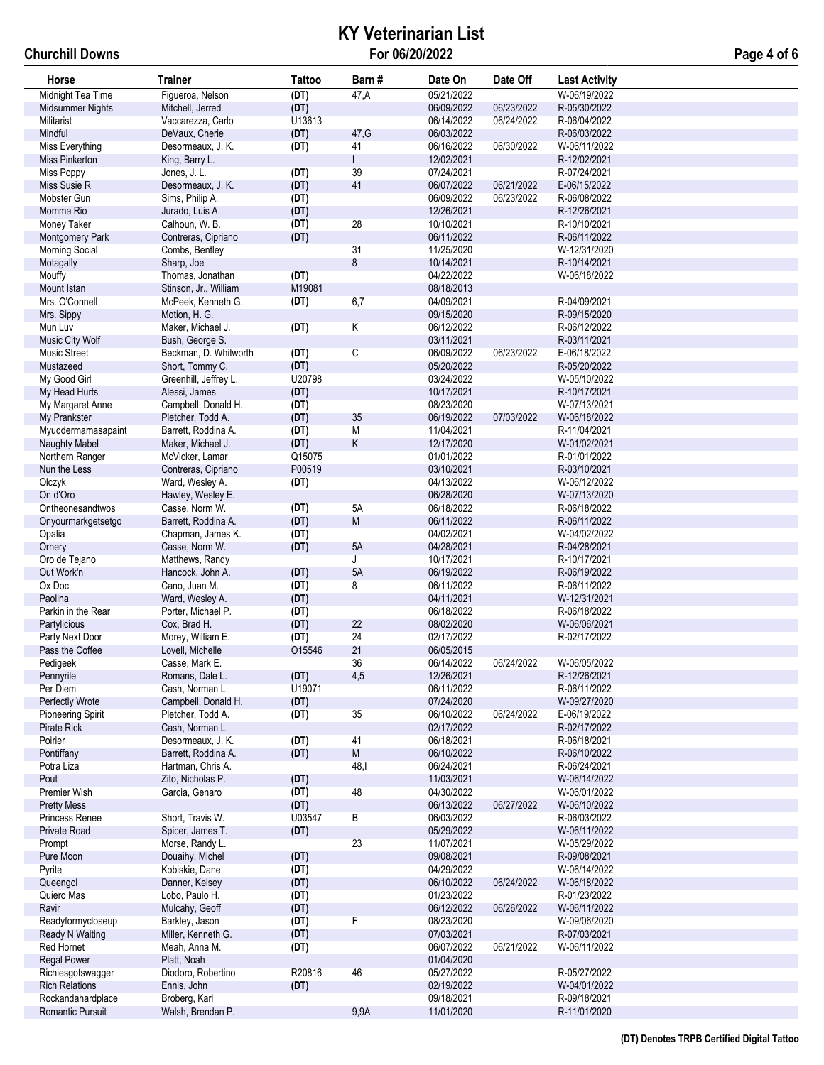## **KY Veterinarian List For 06/20/2022 Page 4 of 6**

| Horse                       | <b>Trainer</b>                      | Tattoo | Barn#                   | Date On                  | Date Off   | <b>Last Activity</b>         |
|-----------------------------|-------------------------------------|--------|-------------------------|--------------------------|------------|------------------------------|
| Midnight Tea Time           | Figueroa, Nelson                    | (DT)   | 47,A                    | 05/21/2022               |            | W-06/19/2022                 |
| <b>Midsummer Nights</b>     | Mitchell, Jerred                    | (DT)   |                         | 06/09/2022               | 06/23/2022 | R-05/30/2022                 |
| Militarist                  | Vaccarezza, Carlo                   | U13613 |                         | 06/14/2022               | 06/24/2022 | R-06/04/2022                 |
| Mindful                     | DeVaux, Cherie                      | (DT)   | 47, G                   | 06/03/2022               |            | R-06/03/2022                 |
| Miss Everything             | Desormeaux, J. K.                   | (DT)   | 41                      | 06/16/2022               | 06/30/2022 | W-06/11/2022                 |
| <b>Miss Pinkerton</b>       | King, Barry L.                      |        |                         | 12/02/2021               |            | R-12/02/2021                 |
| <b>Miss Poppy</b>           | Jones, J. L.                        | (DT)   | 39                      | 07/24/2021               |            | R-07/24/2021                 |
| Miss Susie R                | Desormeaux, J. K.                   | (DT)   | 41                      | 06/07/2022               | 06/21/2022 | E-06/15/2022                 |
| Mobster Gun                 | Sims, Philip A.                     | (DT)   |                         | 06/09/2022               | 06/23/2022 | R-06/08/2022                 |
| Momma Rio                   | Jurado, Luis A.                     | (DT)   |                         | 12/26/2021               |            | R-12/26/2021                 |
| Money Taker                 | Calhoun, W. B.                      | (DT)   | 28                      | 10/10/2021               |            | R-10/10/2021                 |
| Montgomery Park             | Contreras, Cipriano                 | (DT)   |                         | 06/11/2022               |            | R-06/11/2022                 |
| <b>Morning Social</b>       | Combs, Bentley                      |        | 31                      | 11/25/2020               |            | W-12/31/2020                 |
| Motagally                   | Sharp, Joe                          |        | 8                       | 10/14/2021               |            | R-10/14/2021                 |
| Mouffy                      | Thomas, Jonathan                    | (DT)   |                         | 04/22/2022               |            | W-06/18/2022                 |
| Mount Istan                 | Stinson, Jr., William               | M19081 |                         | 08/18/2013               |            |                              |
| Mrs. O'Connell              | McPeek, Kenneth G.                  | (DT)   | 6,7                     | 04/09/2021               |            | R-04/09/2021                 |
| Mrs. Sippy                  | Motion, H. G.                       |        |                         | 09/15/2020               |            | R-09/15/2020                 |
| Mun Luv                     | Maker, Michael J.                   | (DT)   | Κ                       | 06/12/2022               |            | R-06/12/2022                 |
| Music City Wolf             | Bush, George S.                     |        |                         | 03/11/2021               |            | R-03/11/2021                 |
| Music Street                | Beckman, D. Whitworth               | (DT)   | $\overline{\mathsf{C}}$ | 06/09/2022               | 06/23/2022 | E-06/18/2022                 |
| Mustazeed                   | Short, Tommy C.                     | (DT)   |                         | 05/20/2022               |            | R-05/20/2022                 |
| My Good Girl                | Greenhill, Jeffrey L.               | U20798 |                         | 03/24/2022               |            | W-05/10/2022                 |
| My Head Hurts               | Alessi, James                       | (DT)   |                         | 10/17/2021               |            | R-10/17/2021                 |
| My Margaret Anne            | Campbell, Donald H.                 | (DT)   |                         | 08/23/2020               |            | W-07/13/2021                 |
| My Prankster                | Pletcher, Todd A.                   | (DT)   | 35                      | 06/19/2022               | 07/03/2022 | W-06/18/2022                 |
| Myuddermamasapaint          | Barrett, Roddina A.                 | (DT)   | М                       | 11/04/2021               |            | R-11/04/2021                 |
| Naughty Mabel               | Maker, Michael J.                   | (DT)   | Κ                       | 12/17/2020               |            | W-01/02/2021                 |
| Northern Ranger             | McVicker, Lamar                     | Q15075 |                         | 01/01/2022               |            | R-01/01/2022                 |
| Nun the Less                | Contreras, Cipriano                 | P00519 |                         | 03/10/2021               |            | R-03/10/2021                 |
| Olczyk                      | Ward, Wesley A.                     | (DT)   |                         | 04/13/2022               |            | W-06/12/2022                 |
| On d'Oro                    | Hawley, Wesley E.                   |        |                         | 06/28/2020               |            | W-07/13/2020                 |
| Ontheonesandtwos            | Casse, Norm W.                      | (DT)   | 5A                      | 06/18/2022               |            | R-06/18/2022                 |
| Onyourmarkgetsetgo          | Barrett, Roddina A.                 | (DT)   | M                       | 06/11/2022               |            | R-06/11/2022                 |
| Opalia                      | Chapman, James K.                   | (DT)   |                         | 04/02/2021               |            | W-04/02/2022                 |
| Ornery                      | Casse, Norm W.                      | (DT)   | 5A<br>J                 | 04/28/2021               |            | R-04/28/2021                 |
| Oro de Tejano<br>Out Work'n | Matthews, Randy<br>Hancock, John A. | (DT)   | 5A                      | 10/17/2021<br>06/19/2022 |            | R-10/17/2021<br>R-06/19/2022 |
| Ox Doc                      | Cano, Juan M.                       | (DT)   | 8                       | 06/11/2022               |            | R-06/11/2022                 |
| Paolina                     | Ward, Wesley A.                     | (DT)   |                         | 04/11/2021               |            | W-12/31/2021                 |
| Parkin in the Rear          | Porter, Michael P.                  | (DT)   |                         | 06/18/2022               |            | R-06/18/2022                 |
| Partylicious                | Cox, Brad H.                        | (DT)   | 22                      | 08/02/2020               |            | W-06/06/2021                 |
| Party Next Door             | Morey, William E.                   | (DT)   | 24                      | 02/17/2022               |            | R-02/17/2022                 |
| Pass the Coffee             | Lovell, Michelle                    | O15546 | 21                      | 06/05/2015               |            |                              |
| Pedigeek                    | Casse, Mark E.                      |        | 36                      | 06/14/2022               | 06/24/2022 | W-06/05/2022                 |
| Pennyrile                   | Romans, Dale L.                     | (DT)   | 4,5                     | 12/26/2021               |            | R-12/26/2021                 |
| Per Diem                    | Cash. Norman L.                     | U19071 |                         | 06/11/2022               |            | R-06/11/2022                 |
| Perfectly Wrote             | Campbell, Donald H.                 | (DT)   |                         | 07/24/2020               |            | W-09/27/2020                 |
| Pioneering Spirit           | Pletcher, Todd A.                   | (DT)   | 35                      | 06/10/2022               | 06/24/2022 | E-06/19/2022                 |
| Pirate Rick                 | Cash, Norman L.                     |        |                         | 02/17/2022               |            | R-02/17/2022                 |
| Poirier                     | Desormeaux, J. K.                   | (DT)   | 41                      | 06/18/2021               |            | R-06/18/2021                 |
| Pontiffany                  | Barrett, Roddina A.                 | (DT)   | M                       | 06/10/2022               |            | R-06/10/2022                 |
| Potra Liza                  | Hartman, Chris A.                   |        | 48,1                    | 06/24/2021               |            | R-06/24/2021                 |
| Pout                        | Zito, Nicholas P.                   | (DT)   |                         | 11/03/2021               |            | W-06/14/2022                 |
| Premier Wish                | Garcia, Genaro                      | (DT)   | 48                      | 04/30/2022               |            | W-06/01/2022                 |
| <b>Pretty Mess</b>          |                                     | (DT)   |                         | 06/13/2022               | 06/27/2022 | W-06/10/2022                 |
| Princess Renee              | Short. Travis W.                    | U03547 | В                       | 06/03/2022               |            | R-06/03/2022                 |
| Private Road                | Spicer, James T.                    | (DT)   |                         | 05/29/2022               |            | W-06/11/2022                 |
| Prompt                      | Morse, Randy L.                     |        | 23                      | 11/07/2021               |            | W-05/29/2022                 |
| Pure Moon                   | Douaihy, Michel                     | (DT)   |                         | 09/08/2021               |            | R-09/08/2021                 |
| Pyrite                      | Kobiskie, Dane                      | (DT)   |                         | 04/29/2022               |            | W-06/14/2022                 |
| Queengol                    | Danner, Kelsey                      | (DT)   |                         | 06/10/2022               | 06/24/2022 | W-06/18/2022                 |
| Quiero Mas                  | Lobo, Paulo H.                      | (DT)   |                         | 01/23/2022               |            | R-01/23/2022                 |
| Ravir                       | Mulcahy, Geoff                      | (DT)   |                         | 06/12/2022               | 06/26/2022 | W-06/11/2022                 |
| Readyformycloseup           | Barkley, Jason                      | (DT)   | F                       | 08/23/2020               |            | W-09/06/2020                 |
| Ready N Waiting             | Miller, Kenneth G.                  | (DT)   |                         | 07/03/2021               |            | R-07/03/2021                 |
| Red Hornet                  | Meah, Anna M.                       | (DT)   |                         | 06/07/2022               | 06/21/2022 | W-06/11/2022                 |
| <b>Regal Power</b>          | Platt, Noah                         |        |                         | 01/04/2020               |            |                              |
| Richiesgotswagger           | Diodoro, Robertino                  | R20816 | 46                      | 05/27/2022               |            | R-05/27/2022                 |
| <b>Rich Relations</b>       | Ennis, John                         | (DT)   |                         | 02/19/2022               |            | W-04/01/2022                 |
| Rockandahardplace           | Broberg, Karl                       |        |                         | 09/18/2021               |            | R-09/18/2021                 |
| Romantic Pursuit            | Walsh, Brendan P.                   |        | 9,9A                    | 11/01/2020               |            | R-11/01/2020                 |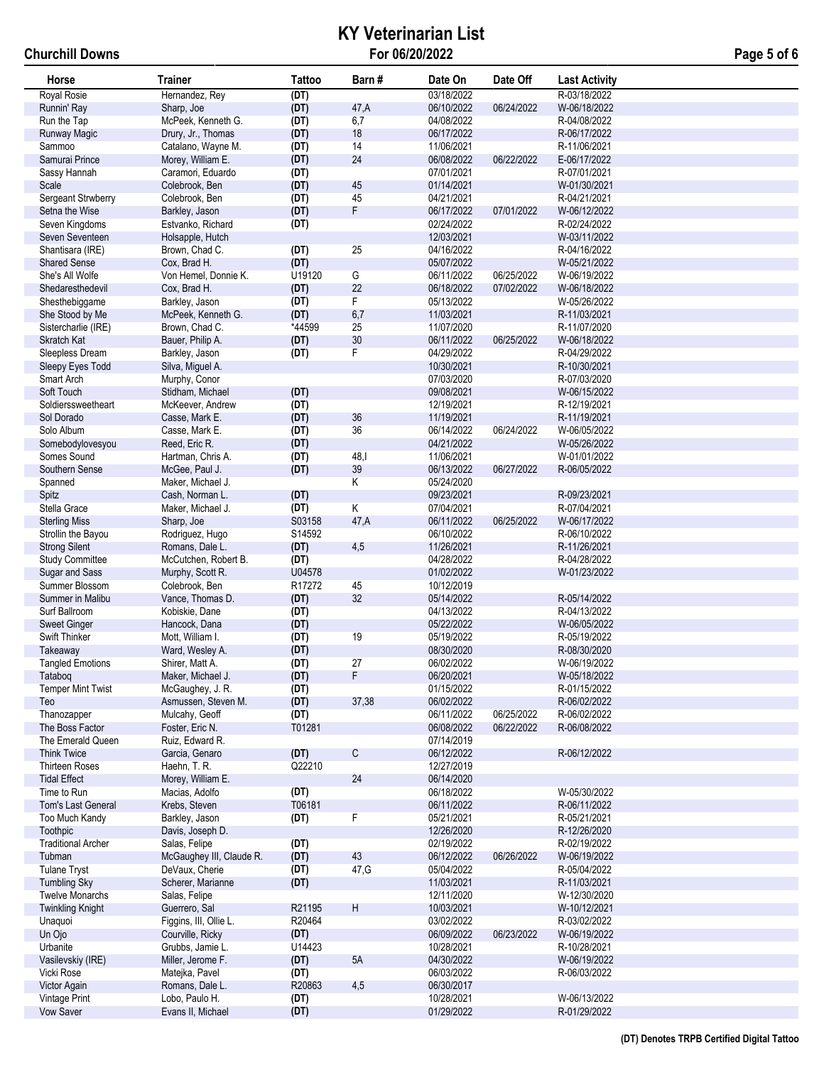## **KY Veterinarian List For 06/20/2022 Page 5 of 6**

| Horse                     | <b>Trainer</b>           | <b>Tattoo</b> | Barn #                  | Date On    | Date Off   | <b>Last Activity</b> |
|---------------------------|--------------------------|---------------|-------------------------|------------|------------|----------------------|
| Royal Rosie               | Hernandez, Rey           | (DT)          |                         | 03/18/2022 |            | R-03/18/2022         |
| Runnin' Ray               | Sharp, Joe               | (DT)          | 47,A                    | 06/10/2022 | 06/24/2022 | W-06/18/2022         |
| Run the Tap               | McPeek, Kenneth G.       | (DT)          | 6,7                     | 04/08/2022 |            | R-04/08/2022         |
| Runway Magic              | Drury, Jr., Thomas       | (DT)          | 18                      | 06/17/2022 |            | R-06/17/2022         |
| Sammoo                    | Catalano, Wayne M.       | (DT)          | 14                      | 11/06/2021 |            | R-11/06/2021         |
| Samurai Prince            | Morey, William E.        | (DT)          | 24                      | 06/08/2022 | 06/22/2022 | E-06/17/2022         |
| Sassy Hannah              | Caramori, Eduardo        | (DT)          |                         | 07/01/2021 |            | R-07/01/2021         |
| Scale                     | Colebrook, Ben           | (DT)          | 45                      | 01/14/2021 |            | W-01/30/2021         |
| Sergeant Strwberry        | Colebrook, Ben           | (DT)          | 45                      | 04/21/2021 |            | R-04/21/2021         |
| Setna the Wise            | Barkley, Jason           | (DT)          | F                       | 06/17/2022 | 07/01/2022 | W-06/12/2022         |
| Seven Kingdoms            | Estvanko, Richard        | (DT)          |                         | 02/24/2022 |            | R-02/24/2022         |
| Seven Seventeen           | Holsapple, Hutch         |               |                         | 12/03/2021 |            | W-03/11/2022         |
| Shantisara (IRE)          | Brown, Chad C.           | (DT)          | 25                      | 04/16/2022 |            | R-04/16/2022         |
| <b>Shared Sense</b>       | Cox, Brad H.             | (DT)          |                         | 05/07/2022 |            | W-05/21/2022         |
| She's All Wolfe           | Von Hemel, Donnie K.     | U19120        | G                       | 06/11/2022 | 06/25/2022 | W-06/19/2022         |
| Shedaresthedevil          | Cox, Brad H.             | (DT)          | 22                      | 06/18/2022 | 07/02/2022 | W-06/18/2022         |
| Shesthebiggame            | Barkley, Jason           | (DT)          | F                       | 05/13/2022 |            | W-05/26/2022         |
| She Stood by Me           | McPeek, Kenneth G.       | (DT)          | 6,7                     | 11/03/2021 |            | R-11/03/2021         |
| Sistercharlie (IRE)       | Brown, Chad C.           | *44599        | 25                      | 11/07/2020 |            | R-11/07/2020         |
| Skratch Kat               | Bauer, Philip A.         | (DT)          | 30                      | 06/11/2022 | 06/25/2022 | W-06/18/2022         |
| Sleepless Dream           | Barkley, Jason           | (DT)          | F                       | 04/29/2022 |            | R-04/29/2022         |
| Sleepy Eyes Todd          | Silva, Miguel A.         |               |                         | 10/30/2021 |            | R-10/30/2021         |
| Smart Arch                | Murphy, Conor            |               |                         | 07/03/2020 |            | R-07/03/2020         |
| Soft Touch                | Stidham, Michael         | (DT)          |                         | 09/08/2021 |            | W-06/15/2022         |
| Soldierssweetheart        | McKeever, Andrew         | (DT)          |                         | 12/19/2021 |            | R-12/19/2021         |
| Sol Dorado                | Casse, Mark E.           | (DT)          | 36                      | 11/19/2021 |            | R-11/19/2021         |
| Solo Album                | Casse, Mark E.           | (DT)          | 36                      | 06/14/2022 | 06/24/2022 | W-06/05/2022         |
| Somebodylovesyou          | Reed, Eric R.            | (DT)          |                         | 04/21/2022 |            | W-05/26/2022         |
| Somes Sound               | Hartman, Chris A.        | (DT)          | 48,1                    | 11/06/2021 |            | W-01/01/2022         |
| Southern Sense            | McGee, Paul J.           | (DT)          | 39                      | 06/13/2022 | 06/27/2022 | R-06/05/2022         |
| Spanned                   | Maker, Michael J.        |               | $\overline{\mathsf{K}}$ | 05/24/2020 |            |                      |
| Spitz                     | Cash, Norman L.          | (DT)          |                         | 09/23/2021 |            | R-09/23/2021         |
| Stella Grace              | Maker, Michael J.        | (DT)          | Κ                       | 07/04/2021 |            | R-07/04/2021         |
| <b>Sterling Miss</b>      | Sharp, Joe               | S03158        | 47,A                    | 06/11/2022 | 06/25/2022 | W-06/17/2022         |
| Strollin the Bayou        | Rodriguez, Hugo          | S14592        |                         | 06/10/2022 |            | R-06/10/2022         |
| <b>Strong Silent</b>      | Romans, Dale L.          | (DT)          | 4,5                     | 11/26/2021 |            | R-11/26/2021         |
| <b>Study Committee</b>    | McCutchen, Robert B.     | (DT)          |                         | 04/28/2022 |            | R-04/28/2022         |
| Sugar and Sass            | Murphy, Scott R.         | U04578        |                         | 01/02/2022 |            | W-01/23/2022         |
| Summer Blossom            | Colebrook, Ben           | R17272        | 45                      | 10/12/2019 |            |                      |
| Summer in Malibu          | Vance, Thomas D.         | (DT)          | 32                      | 05/14/2022 |            | R-05/14/2022         |
| Surf Ballroom             | Kobiskie, Dane           | (DT)          |                         | 04/13/2022 |            | R-04/13/2022         |
| <b>Sweet Ginger</b>       | Hancock, Dana            | (DT)          |                         | 05/22/2022 |            | W-06/05/2022         |
| Swift Thinker             | Mott, William I.         | (DT)          | 19                      | 05/19/2022 |            | R-05/19/2022         |
| Takeaway                  | Ward, Wesley A.          | (DT)          |                         | 08/30/2020 |            | R-08/30/2020         |
| <b>Tangled Emotions</b>   | Shirer, Matt A.          | (DT)          | 27                      | 06/02/2022 |            | W-06/19/2022         |
| Tatabog                   | Maker, Michael J.        | (DT)          | F                       | 06/20/2021 |            | W-05/18/2022         |
| <b>Temper Mint Twist</b>  | McGaughey, J. R.         | (DT)          |                         | 01/15/2022 |            | R-01/15/2022         |
| Teo                       | Asmussen, Steven M.      | (DT)          | 37,38                   | 06/02/2022 |            | R-06/02/2022         |
| Thanozapper               | Mulcahy, Geoff           | (DT)          |                         | 06/11/2022 | 06/25/2022 | R-06/02/2022         |
| The Boss Factor           | Foster, Eric N.          | T01281        |                         | 06/08/2022 | 06/22/2022 | R-06/08/2022         |
| The Emerald Queen         | Ruiz, Edward R.          |               |                         | 07/14/2019 |            |                      |
| <b>Think Twice</b>        | Garcia, Genaro           | (DT)          | C                       | 06/12/2022 |            | R-06/12/2022         |
| <b>Thirteen Roses</b>     | Haehn, T. R.             | Q22210        |                         | 12/27/2019 |            |                      |
| <b>Tidal Effect</b>       | Morey, William E.        |               | 24                      | 06/14/2020 |            |                      |
| Time to Run               | Macias, Adolfo           | (DT)          |                         | 06/18/2022 |            | W-05/30/2022         |
| Tom's Last General        | Krebs, Steven            | T06181        |                         | 06/11/2022 |            | R-06/11/2022         |
| Too Much Kandy            | Barkley, Jason           | (DT)          | F                       | 05/21/2021 |            | R-05/21/2021         |
| Toothpic                  | Davis, Joseph D.         |               |                         | 12/26/2020 |            | R-12/26/2020         |
| <b>Traditional Archer</b> | Salas, Felipe            | (DT)          |                         | 02/19/2022 |            | R-02/19/2022         |
| Tubman                    | McGaughey III, Claude R. | (DT)          | 43                      | 06/12/2022 | 06/26/2022 | W-06/19/2022         |
| <b>Tulane Tryst</b>       | DeVaux, Cherie           | (DT)          | 47, G                   | 05/04/2022 |            | R-05/04/2022         |
| <b>Tumbling Sky</b>       | Scherer, Marianne        | (DT)          |                         | 11/03/2021 |            | R-11/03/2021         |
| <b>Twelve Monarchs</b>    | Salas, Felipe            |               |                         | 12/11/2020 |            | W-12/30/2020         |
| <b>Twinkling Knight</b>   | Guerrero, Sal            | R21195        | H                       | 10/03/2021 |            | W-10/12/2021         |
| Unaquoi                   | Figgins, III, Ollie L.   | R20464        |                         | 03/02/2022 |            | R-03/02/2022         |
| Un Ojo                    | Courville, Ricky         | (DT)          |                         | 06/09/2022 | 06/23/2022 | W-06/19/2022         |
| Urbanite                  | Grubbs, Jamie L.         | U14423        |                         | 10/28/2021 |            | R-10/28/2021         |
| Vasilevskiy (IRE)         | Miller, Jerome F.        | (DT)          | 5A                      | 04/30/2022 |            | W-06/19/2022         |
| Vicki Rose                | Matejka, Pavel           | (DT)          |                         | 06/03/2022 |            | R-06/03/2022         |
| Victor Again              | Romans, Dale L.          | R20863        | 4,5                     | 06/30/2017 |            |                      |
| Vintage Print             | Lobo, Paulo H.           | (DT)          |                         | 10/28/2021 |            | W-06/13/2022         |
| <b>Vow Saver</b>          | Evans II, Michael        | (DT)          |                         | 01/29/2022 |            | R-01/29/2022         |
|                           |                          |               |                         |            |            |                      |